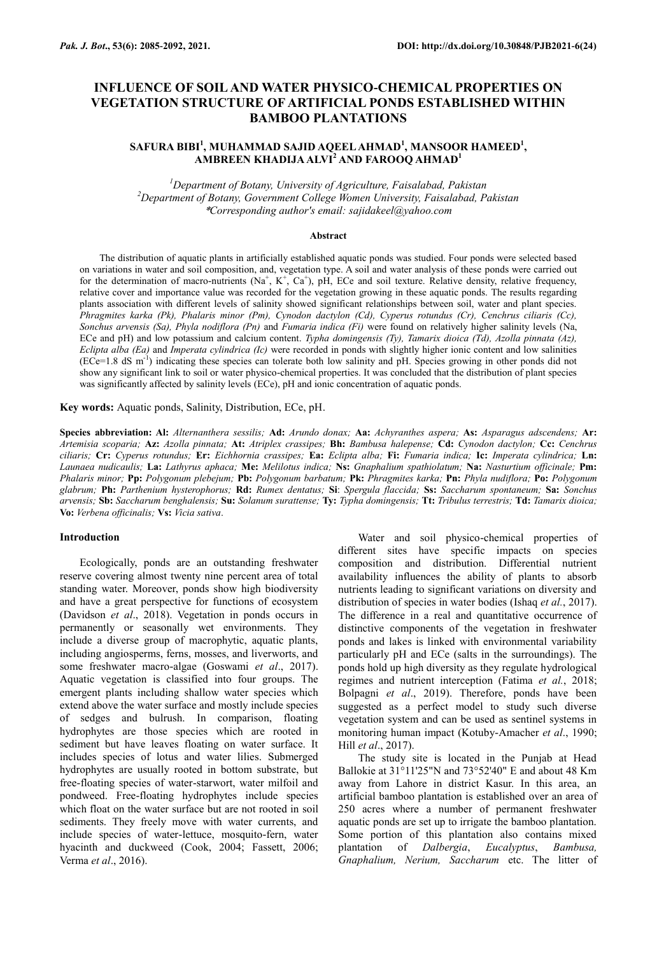# **INFLUENCE OF SOIL AND WATER PHYSICO-CHEMICAL PROPERTIES ON VEGETATION STRUCTURE OF ARTIFICIAL PONDS ESTABLISHED WITHIN BAMBOO PLANTATIONS**

# **SAFURA BIBI<sup>1</sup> , MUHAMMAD SAJID AQEEL AHMAD<sup>1</sup> , MANSOOR HAMEED<sup>1</sup> , AMBREEN KHADIJA ALVI<sup>2</sup> AND FAROOQ AHMAD<sup>1</sup>**

*<sup>1</sup>Department of Botany, University of Agriculture, Faisalabad, Pakistan <sup>2</sup>Department of Botany, Government College Women University, Faisalabad, Pakistan* \**Corresponding author's email: sajidakeel@yahoo.com*

#### **Abstract**

The distribution of aquatic plants in artificially established aquatic ponds was studied. Four ponds were selected based on variations in water and soil composition, and, vegetation type. A soil and water analysis of these ponds were carried out for the determination of macro-nutrients (Na<sup>+</sup>, K<sup>+</sup>, Ca<sup>+</sup>), pH, ECe and soil texture. Relative density, relative frequency, relative cover and importance value was recorded for the vegetation growing in these aquatic ponds. The results regarding plants association with different levels of salinity showed significant relationships between soil, water and plant species. *Phragmites karka (Pk), Phalaris minor (Pm), Cynodon dactylon (Cd), Cyperus rotundus (Cr), Cenchrus ciliaris (Cc), Sonchus arvensis (Sa), Phyla nodiflora (Pn)* and *Fumaria indica (Fi)* were found on relatively higher salinity levels (Na, ECe and pH) and low potassium and calcium content. *Typha domingensis (Ty), Tamarix dioica (Td), Azolla pinnata (Az), Eclipta alba (Ea)* and *Imperata cylindrica (Ic)* were recorded in ponds with slightly higher ionic content and low salinities  $(ECe=1.8 \text{ dS m}^{-1})$  indicating these species can tolerate both low salinity and pH. Species growing in other ponds did not show any significant link to soil or water physico-chemical properties. It was concluded that the distribution of plant species was significantly affected by salinity levels (ECe), pH and ionic concentration of aquatic ponds.

**Key words:** Aquatic ponds, Salinity, Distribution, ECe, pH.

**Species abbreviation: Al:** *Alternanthera sessilis;* **Ad:** *Arundo donax;* **Aa:** *Achyranthes aspera;* **As:** *Asparagus adscendens;* **Ar:**  *Artemisia scoparia;* **Az:** *Azolla pinnata;* **At:** *Atriplex crassipes;* **Bh:** *Bambusa halepense;* **Cd:** *Cynodon dactylon;* **Cc:** *Cenchrus ciliaris;* **Cr:** *Cyperus rotundus;* **Er:** *Eichhornia crassipes;* **Ea:** *Eclipta alba;* **Fi:** *Fumaria indica;* **Ic:** *Imperata cylindrica;* **Ln:**  *Launaea nudicaulis;* **La:** *Lathyrus aphaca;* **Me:** *Melilotus indica;* **Ns:** *Gnaphalium spathiolatum;* **Na:** *Nasturtium officinale;* **Pm:**  *Phalaris minor;* **Pp:** *Polygonum plebejum;* **Pb:** *Polygonum barbatum;* **Pk:** *Phragmites karka;* **Pn:** *Phyla nudiflora;* **Po:** *Polygonum glabrum;* **Ph:** *Parthenium hysterophorus;* **Rd:** *Rumex dentatus;* **Si**: *Spergula flaccida;* **Ss:** *Saccharum spontaneum;* **Sa:** *Sonchus arvensis;* **Sb:** *Saccharum benghalensis;* **Su:** *Solanum surattense;* **Ty:** *Typha domingensis;* **Tt:** *Tribulus terrestris;* **Td:** *Tamarix dioica;*  **Vo:** *Verbena officinalis;* **Vs:** *Vicia sativa*.

#### **Introduction**

Ecologically, ponds are an outstanding freshwater reserve covering almost twenty nine percent area of total standing water. Moreover, ponds show high biodiversity and have a great perspective for functions of ecosystem (Davidson *et al*., 2018). Vegetation in ponds occurs in permanently or seasonally wet environments. They include a diverse group of macrophytic, aquatic plants, including angiosperms, ferns, mosses, and liverworts, and some freshwater macro-algae (Goswami *et al*., 2017). Aquatic vegetation is classified into four groups. The emergent plants including shallow water species which extend above the water surface and mostly include species of sedges and bulrush. In comparison, floating hydrophytes are those species which are rooted in sediment but have leaves floating on water surface. It includes species of lotus and water lilies. Submerged hydrophytes are usually rooted in bottom substrate, but free-floating species of water-starwort, water milfoil and pondweed. Free-floating hydrophytes include species which float on the water surface but are not rooted in soil sediments. They freely move with water currents, and include species of water-lettuce, mosquito-fern, water hyacinth and duckweed (Cook, 2004; Fassett, 2006; Verma *et al*., 2016).

Water and soil physico-chemical properties of different sites have specific impacts on species composition and distribution. Differential nutrient availability influences the ability of plants to absorb nutrients leading to significant variations on diversity and distribution of species in water bodies (Ishaq *et al.*, 2017). The difference in a real and quantitative occurrence of distinctive components of the vegetation in freshwater ponds and lakes is linked with environmental variability particularly pH and ECe (salts in the surroundings). The ponds hold up high diversity as they regulate hydrological regimes and nutrient interception (Fatima *et al.*, 2018; Bolpagni *et al*., 2019). Therefore, ponds have been suggested as a perfect model to study such diverse vegetation system and can be used as sentinel systems in monitoring human impact (Kotuby-Amacher *et al*., 1990; Hill *et al*., 2017).

The study site is located in the Punjab at Head Ballokie at 31°11'25"N and 73°52'40" E and about 48 Km away from Lahore in district Kasur. In this area, an artificial bamboo plantation is established over an area of 250 acres where a number of permanent freshwater aquatic ponds are set up to irrigate the bamboo plantation. Some portion of this plantation also contains mixed plantation of *Dalbergia*, *Eucalyptus*, *Bambusa, Gnaphalium, Nerium, Saccharum* etc. The litter of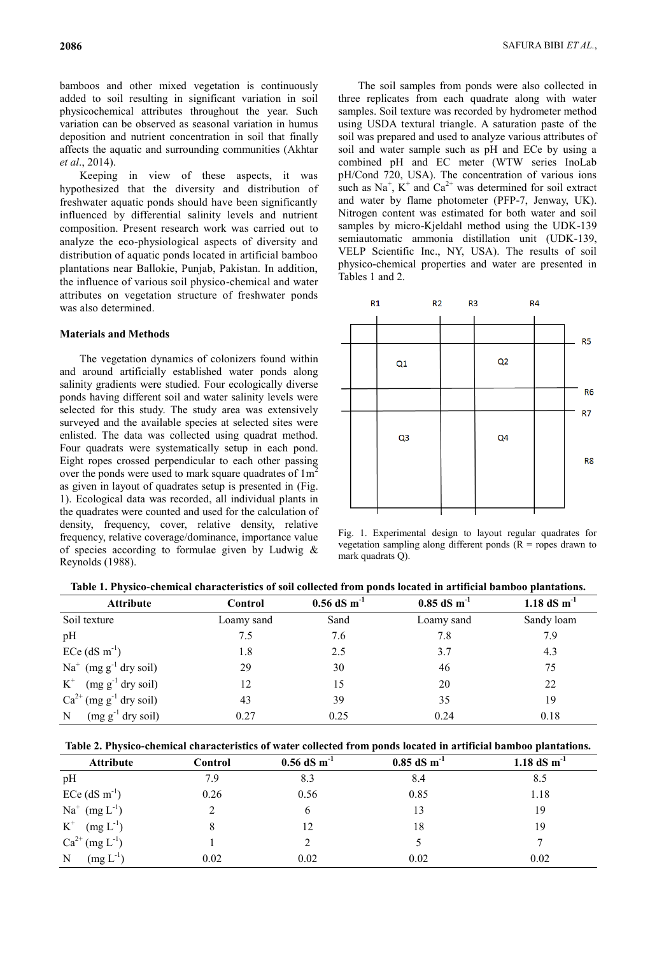bamboos and other mixed vegetation is continuously added to soil resulting in significant variation in soil physicochemical attributes throughout the year. Such variation can be observed as seasonal variation in humus deposition and nutrient concentration in soil that finally affects the aquatic and surrounding communities (Akhtar *et al*., 2014).

Keeping in view of these aspects, it was hypothesized that the diversity and distribution of freshwater aquatic ponds should have been significantly influenced by differential salinity levels and nutrient composition. Present research work was carried out to analyze the eco-physiological aspects of diversity and distribution of aquatic ponds located in artificial bamboo plantations near Ballokie, Punjab, Pakistan. In addition, the influence of various soil physico-chemical and water attributes on vegetation structure of freshwater ponds was also determined.

#### **Materials and Methods**

The vegetation dynamics of colonizers found within and around artificially established water ponds along salinity gradients were studied. Four ecologically diverse ponds having different soil and water salinity levels were selected for this study. The study area was extensively surveyed and the available species at selected sites were enlisted. The data was collected using quadrat method. Four quadrats were systematically setup in each pond. Eight ropes crossed perpendicular to each other passing over the ponds were used to mark square quadrates of  $1m<sup>2</sup>$ as given in layout of quadrates setup is presented in (Fig. 1). Ecological data was recorded, all individual plants in the quadrates were counted and used for the calculation of density, frequency, cover, relative density, relative frequency, relative coverage/dominance, importance value of species according to formulae given by Ludwig & Reynolds (1988).

The soil samples from ponds were also collected in three replicates from each quadrate along with water samples. Soil texture was recorded by hydrometer method using USDA textural triangle. A saturation paste of the soil was prepared and used to analyze various attributes of soil and water sample such as pH and ECe by using a combined pH and EC meter (WTW series InoLab pH/Cond 720, USA). The concentration of various ions such as  $Na^{+}$ ,  $K^{+}$  and  $Ca^{2+}$  was determined for soil extract and water by flame photometer (PFP-7, Jenway, UK). Nitrogen content was estimated for both water and soil samples by micro-Kjeldahl method using the UDK-139 semiautomatic ammonia distillation unit (UDK-139, VELP Scientific Inc., NY, USA). The results of soil physico-chemical properties and water are presented in Tables 1 and 2.



Fig. 1. Experimental design to layout regular quadrates for vegetation sampling along different ponds ( $R =$  ropes drawn to mark quadrats Q).

| Table 1. Physico-chemical characteristics of soil collected from ponds located in artificial bamboo plantations. |  |  |
|------------------------------------------------------------------------------------------------------------------|--|--|
|                                                                                                                  |  |  |

| <b>Attribute</b>                                                | Control    | $0.56$ dS m <sup>-1</sup> | $0.85$ dS m <sup>-1</sup> | 1.18 dS $m^{-1}$ |
|-----------------------------------------------------------------|------------|---------------------------|---------------------------|------------------|
| Soil texture                                                    | Loamy sand | Sand                      | Loamy sand                | Sandy loam       |
| pH                                                              | 7.5        | 7.6                       | 7.8                       | 7.9              |
| $ECe$ (dS m <sup>-1</sup> )                                     | 1.8        | 2.5                       | 3.7                       | 4.3              |
| $Na+$ (mg g <sup>-1</sup> dry soil)                             | 29         | 30                        | 46                        | 75               |
| $K^+$ (mg g <sup>-1</sup> dry soil)                             | 12         | 15                        | 20                        | 22               |
| $Ca^{2+}$ (mg g <sup>-1</sup> dry soil)                         | 43         | 39                        | 35                        | 19               |
| $\left(\text{mg g}^{-1} \text{ dry soil}\right)$<br>$\mathbf N$ | 0.27       | 0.25                      | 0.24                      | 0.18             |

| Table 2. Physico-chemical characteristics of water collected from ponds located in artificial bamboo plantations. |  |  |  |
|-------------------------------------------------------------------------------------------------------------------|--|--|--|
|                                                                                                                   |  |  |  |

| <b>Attribute</b>              | <b>Control</b> | $0.56$ dS m <sup>-1</sup> | $0.85$ dS m <sup>-1</sup> | 1.18 $dS \, m^{-1}$ |
|-------------------------------|----------------|---------------------------|---------------------------|---------------------|
| pH                            | 7.9            | 8.3                       | 8.4                       | 8.5                 |
| $ECe$ (dS m <sup>-1</sup> )   | 0.26           | 0.56                      | 0.85                      | 1.18                |
| $Na^{+}$ (mg $L^{-1}$ )       |                | 6                         | 13                        | 19                  |
| $\mbox{K}^+$<br>$(mg L^{-1})$ |                | 12                        | 18                        | 19                  |
| $Ca^{2+}$ (mg $L^{-1}$ )      |                |                           |                           |                     |
| $(mg L^{-1})$<br>N            | 0.02           | 0.02                      | 0.02                      | 0.02                |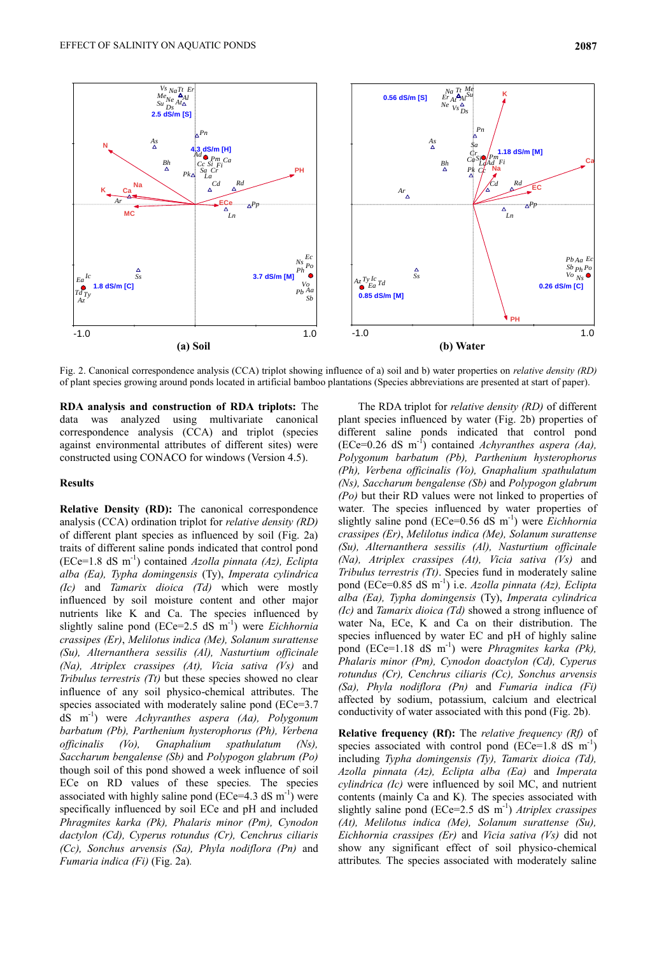

Fig. 2. Canonical correspondence analysis (CCA) triplot showing influence of a) soil and b) water properties on *relative density (RD)* of plant species growing around ponds located in artificial bamboo plantations (Species abbreviations are presented at start of paper).

**RDA analysis and construction of RDA triplots:** The data was analyzed using multivariate canonical correspondence analysis (CCA) and triplot (species against environmental attributes of different sites) were constructed using CONACO for windows (Version 4.5).

# **Results**

**Relative Density (RD):** The canonical correspondence analysis (CCA) ordination triplot for *relative density (RD)* of different plant species as influenced by soil (Fig. 2a) traits of different saline ponds indicated that control pond (ECe=1.8 dS m -1 ) contained *Azolla pinnata (Az), Eclipta alba (Ea), Typha domingensis* (Ty), *Imperata cylindrica (Ic)* and *Tamarix dioica (Td)* which were mostly influenced by soil moisture content and other major nutrients like K and Ca. The species influenced by slightly saline pond (ECe=2.5 dS m<sup>-1</sup>) were *Eichhornia crassipes (Er)*, *Melilotus indica (Me), Solanum surattense (Su), Alternanthera sessilis (Al), Nasturtium officinale (Na), Atriplex crassipes (At), Vicia sativa (Vs)* and *Tribulus terrestris (Tt)* but these species showed no clear influence of any soil physico-chemical attributes. The species associated with moderately saline pond (ECe=3.7) dS m -1 ) were *Achyranthes aspera (Aa), Polygonum barbatum (Pb), Parthenium hysterophorus (Ph), Verbena officinalis (Vo), Gnaphalium spathulatum (Ns), Saccharum bengalense (Sb)* and *Polypogon glabrum (Po)*  though soil of this pond showed a week influence of soil ECe on RD values of these species*.* The species associated with highly saline pond ( $\text{ECe}=4.3 \text{ dS m}^{-1}$ ) were specifically influenced by soil ECe and pH and included *Phragmites karka (Pk), Phalaris minor (Pm), Cynodon dactylon (Cd), Cyperus rotundus (Cr), Cenchrus ciliaris (Cc), Sonchus arvensis (Sa), Phyla nodiflora (Pn)* and *Fumaria indica (Fi)* (Fig. 2a)*.*

The RDA triplot for *relative density (RD)* of different plant species influenced by water (Fig. 2b) properties of different saline ponds indicated that control pond (ECe=0.26 dS m -1 ) contained *Achyranthes aspera (Aa), Polygonum barbatum (Pb), Parthenium hysterophorus (Ph), Verbena officinalis (Vo), Gnaphalium spathulatum (Ns), Saccharum bengalense (Sb)* and *Polypogon glabrum (Po)* but their RD values were not linked to properties of water*.* The species influenced by water properties of slightly saline pond (ECe=0.56 dS m<sup>-1</sup>) were *Eichhornia crassipes (Er)*, *Melilotus indica (Me), Solanum surattense (Su), Alternanthera sessilis (Al), Nasturtium officinale (Na), Atriplex crassipes (At), Vicia sativa (Vs)* and *Tribulus terrestris (Tt)*. Species fund in moderately saline pond (ECe=0.85 dS m -1 ) i.e. *Azolla pinnata (Az), Eclipta alba (Ea), Typha domingensis* (Ty), *Imperata cylindrica (Ic)* and *Tamarix dioica (Td)* showed a strong influence of water Na, ECe, K and Ca on their distribution. The species influenced by water EC and pH of highly saline pond (ECe=1.18 dS m -1 ) were *Phragmites karka (Pk), Phalaris minor (Pm), Cynodon doactylon (Cd), Cyperus rotundus (Cr), Cenchrus ciliaris (Cc), Sonchus arvensis (Sa), Phyla nodiflora (Pn)* and *Fumaria indica (Fi)*  affected by sodium, potassium, calcium and electrical conductivity of water associated with this pond (Fig. 2b)*.*

**Relative frequency (Rf):** The *relative frequency (Rf)* of species associated with control pond  $(ECe=1.8 \text{ dS m}^{-1})$ including *Typha domingensis (Ty), Tamarix dioica (Td), Azolla pinnata (Az), Eclipta alba (Ea)* and *Imperata cylindrica (Ic)* were influenced by soil MC, and nutrient contents (mainly Ca and K)*.* The species associated with slightly saline pond (ECe=2.5 dS m<sup>-1</sup>) *Atriplex crassipes (At), Melilotus indica (Me), Solanum surattense (Su), Eichhornia crassipes (Er)* and *Vicia sativa (Vs)* did not show any significant effect of soil physico-chemical attributes*.* The species associated with moderately saline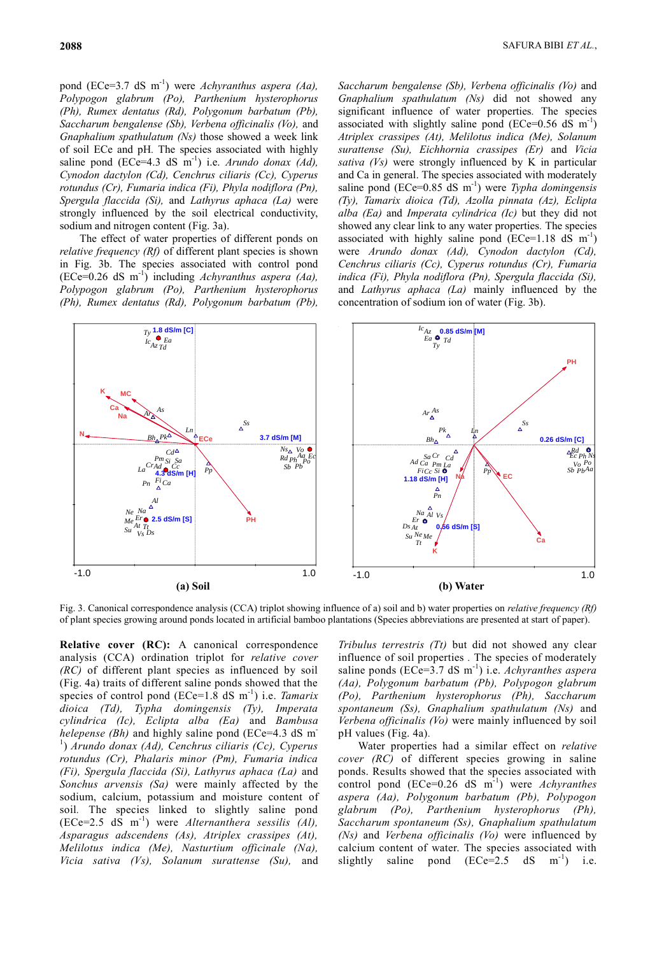pond (ECe=3.7 dS m -1 ) were *Achyranthus aspera (Aa), Polypogon glabrum (Po), Parthenium hysterophorus (Ph), Rumex dentatus (Rd), Polygonum barbatum (Pb), Saccharum bengalense (Sb), Verbena officinalis (Vo),* and *Gnaphalium spathulatum (Ns)* those showed a week link of soil ECe and pH*.* The species associated with highly saline pond  $(ECe=4.3 \text{ dS} \text{ m}^{-1})$  i.e. *Arundo donax (Ad)*, *Cynodon dactylon (Cd), Cenchrus ciliaris (Cc), Cyperus rotundus (Cr), Fumaria indica (Fi), Phyla nodiflora (Pn), Spergula flaccida (Si),* and *Lathyrus aphaca (La)* were strongly influenced by the soil electrical conductivity, sodium and nitrogen content (Fig. 3a).

The effect of water properties of different ponds on *relative frequency (Rf)* of different plant species is shown in Fig. 3b. The species associated with control pond (ECe=0.26 dS m -1 ) including *Achyranthus aspera (Aa), Polypogon glabrum (Po), Parthenium hysterophorus (Ph), Rumex dentatus (Rd), Polygonum barbatum (Pb),* 

*Saccharum bengalense (Sb), Verbena officinalis (Vo)* and *Gnaphalium spathulatum (Ns)* did not showed any significant influence of water properties*.* The species associated with slightly saline pond (ECe= $0.56$  dS m<sup>-1</sup>) *Atriplex crassipes (At), Melilotus indica (Me), Solanum surattense (Su), Eichhornia crassipes (Er)* and *Vicia sativa (Vs)* were strongly influenced by K in particular and Ca in general. The species associated with moderately saline pond (ECe=0.85 dS m<sup>-1</sup>) were *Typha domingensis (Ty), Tamarix dioica (Td), Azolla pinnata (Az), Eclipta alba (Ea)* and *Imperata cylindrica (Ic)* but they did not showed any clear link to any water properties*.* The species associated with highly saline pond  $(ECe=1.18 \text{ dS m}^{-1})$ were *Arundo donax (Ad), Cynodon dactylon (Cd), Cenchrus ciliaris (Cc), Cyperus rotundus (Cr), Fumaria indica (Fi), Phyla nodiflora (Pn), Spergula flaccida (Si),*  and *Lathyrus aphaca (La)* mainly influenced by the concentration of sodium ion of water (Fig. 3b).



Fig. 3. Canonical correspondence analysis (CCA) triplot showing influence of a) soil and b) water properties on *relative frequency (Rf)* of plant species growing around ponds located in artificial bamboo plantations (Species abbreviations are presented at start of paper).

**Relative cover (RC):** A canonical correspondence analysis (CCA) ordination triplot for *relative cover (RC)* of different plant species as influenced by soil (Fig. 4a) traits of different saline ponds showed that the species of control pond (ECe=1.8 dS m<sup>-1</sup>) i.e. *Tamarix dioica (Td), Typha domingensis (Ty), Imperata cylindrica (Ic), Eclipta alba (Ea)* and *Bambusa helepense (Bh)* and highly saline pond (ECe=4.3 dS m<sup>-</sup> 1 ) *Arundo donax (Ad), Cenchrus ciliaris (Cc), Cyperus rotundus (Cr), Phalaris minor (Pm), Fumaria indica (Fi), Spergula flaccida (Si), Lathyrus aphaca (La)* and *Sonchus arvensis (Sa)* were mainly affected by the sodium, calcium, potassium and moisture content of soil*.* The species linked to slightly saline pond (ECe=2.5 dS m -1 ) were *Alternanthera sessilis (Al), Asparagus adscendens (As), Atriplex crassipes (At), Melilotus indica (Me), Nasturtium officinale (Na), Vicia sativa (Vs), Solanum surattense (Su),* and

*Tribulus terrestris (Tt)* but did not showed any clear influence of soil properties *.* The species of moderately saline ponds (ECe=3.7 dS m<sup>-1</sup>) i.e. *Achyranthes aspera (Aa), Polygonum barbatum (Pb), Polypogon glabrum (Po), Parthenium hysterophorus (Ph), Saccharum spontaneum (Ss), Gnaphalium spathulatum (Ns)* and *Verbena officinalis (Vo)* were mainly influenced by soil pH values (Fig. 4a)*.*

Water properties had a similar effect on *relative cover (RC)* of different species growing in saline ponds. Results showed that the species associated with control pond (ECe=0.26 dS m -1 ) were *Achyranthes aspera (Aa), Polygonum barbatum (Pb), Polypogon glabrum (Po), Parthenium hysterophorus (Ph), Saccharum spontaneum (Ss), Gnaphalium spathulatum (Ns)* and *Verbena officinalis (Vo)* were influenced by calcium content of water. The species associated with slightly saline pond (ECe=2.5 dS)  $m^{-1}$ ) ) i.e.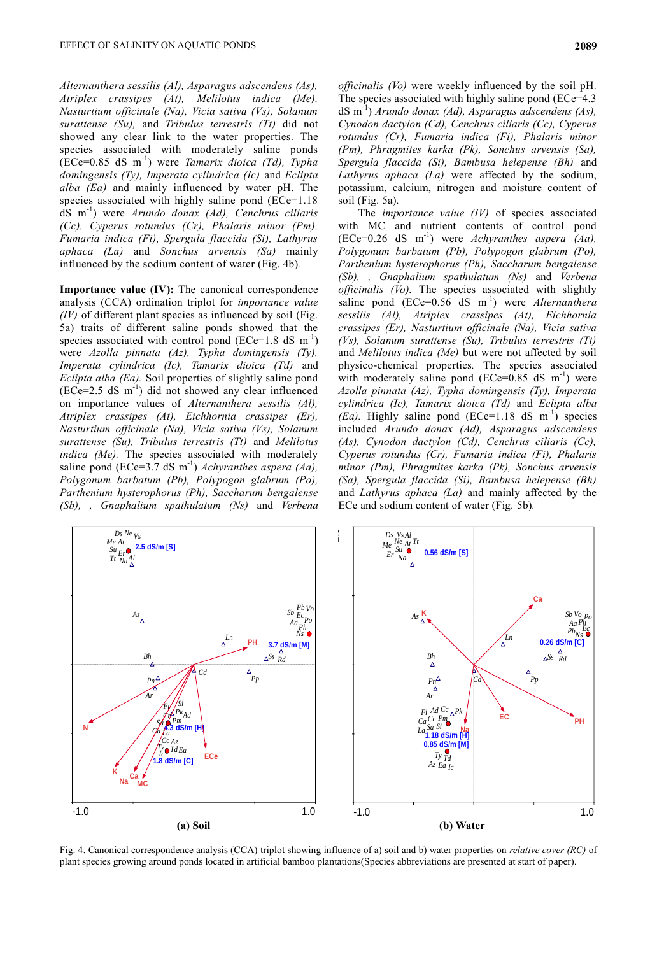*Alternanthera sessilis (Al), Asparagus adscendens (As), Atriplex crassipes (At), Melilotus indica (Me), Nasturtium officinale (Na), Vicia sativa (Vs), Solanum surattense (Su),* and *Tribulus terrestris (Tt)* did not showed any clear link to the water properties*.* The species associated with moderately saline ponds (ECe=0.85 dS m -1 ) were *Tamarix dioica (Td), Typha domingensis (Ty), Imperata cylindrica (Ic)* and *Eclipta alba (Ea)* and mainly influenced by water pH*.* The species associated with highly saline pond (ECe=1.18) dS m -1 ) were *Arundo donax (Ad), Cenchrus ciliaris (Cc), Cyperus rotundus (Cr), Phalaris minor (Pm), Fumaria indica (Fi), Spergula flaccida (Si), Lathyrus aphaca (La)* and *Sonchus arvensis (Sa)* mainly influenced by the sodium content of water (Fig. 4b)*.*

**Importance value (IV):** The canonical correspondence analysis (CCA) ordination triplot for *importance value (IV)* of different plant species as influenced by soil (Fig. 5a) traits of different saline ponds showed that the species associated with control pond (ECe=1.8 dS  $m^{-1}$ ) were *Azolla pinnata (Az), Typha domingensis (Ty), Imperata cylindrica (Ic), Tamarix dioica (Td)* and *Eclipta alba (Ea).* Soil properties of slightly saline pond  $(ECe=2.5 dS m<sup>-1</sup>)$  did not showed any clear influenced on importance values of *Alternanthera sessilis (Al), Atriplex crassipes (At), Eichhornia crassipes (Er), Nasturtium officinale (Na), Vicia sativa (Vs), Solanum surattense (Su), Tribulus terrestris (Tt)* and *Melilotus indica (Me)*. The species associated with moderately saline pond (ECe=3.7 dS m<sup>-1</sup>) *Achyranthes aspera (Aa)*, *Polygonum barbatum (Pb), Polypogon glabrum (Po), Parthenium hysterophorus (Ph), Saccharum bengalense (Sb), , Gnaphalium spathulatum (Ns)* and *Verbena* 

*officinalis (Vo)* were weekly influenced by the soil pH*.*  The species associated with highly saline pond (ECe=4.3) dS m -1 ) *Arundo donax (Ad), Asparagus adscendens (As), Cynodon dactylon (Cd), Cenchrus ciliaris (Cc), Cyperus rotundus (Cr), Fumaria indica (Fi), Phalaris minor (Pm), Phragmites karka (Pk), Sonchus arvensis (Sa), Spergula flaccida (Si), Bambusa helepense (Bh)* and *Lathyrus aphaca (La)* were affected by the sodium, potassium, calcium, nitrogen and moisture content of soil (Fig. 5a)*.*

The *importance value (IV)* of species associated with MC and nutrient contents of control pond (ECe=0.26 dS m -1 ) were *Achyranthes aspera (Aa), Polygonum barbatum (Pb), Polypogon glabrum (Po), Parthenium hysterophorus (Ph), Saccharum bengalense (Sb), , Gnaphalium spathulatum (Ns)* and *Verbena officinalis (Vo).* The species associated with slightly saline pond (ECe=0.56 dS m<sup>-1</sup>) were *Alternanthera sessilis (Al), Atriplex crassipes (At), Eichhornia crassipes (Er), Nasturtium officinale (Na), Vicia sativa (Vs), Solanum surattense (Su), Tribulus terrestris (Tt)*  and *Melilotus indica (Me)* but were not affected by soil physico-chemical properties*.* The species associated with moderately saline pond  $(ECe=0.85 dS m^{-1})$  were *Azolla pinnata (Az), Typha domingensis (Ty), Imperata cylindrica (Ic), Tamarix dioica (Td)* and *Eclipta alba*   $(Ea)$ . Highly saline pond  $(ECe=1.18 \text{ dS m}^{-1})$  species included *Arundo donax (Ad), Asparagus adscendens (As), Cynodon dactylon (Cd), Cenchrus ciliaris (Cc), Cyperus rotundus (Cr), Fumaria indica (Fi), Phalaris minor (Pm), Phragmites karka (Pk), Sonchus arvensis (Sa), Spergula flaccida (Si), Bambusa helepense (Bh)*  and *Lathyrus aphaca (La)* and mainly affected by the ECe and sodium content of water (Fig. 5b)*.*



Fig. 4. Canonical correspondence analysis (CCA) triplot showing influence of a) soil and b) water properties on *relative cover (RC)* of plant species growing around ponds located in artificial bamboo plantations(Species abbreviations are presented at start of paper).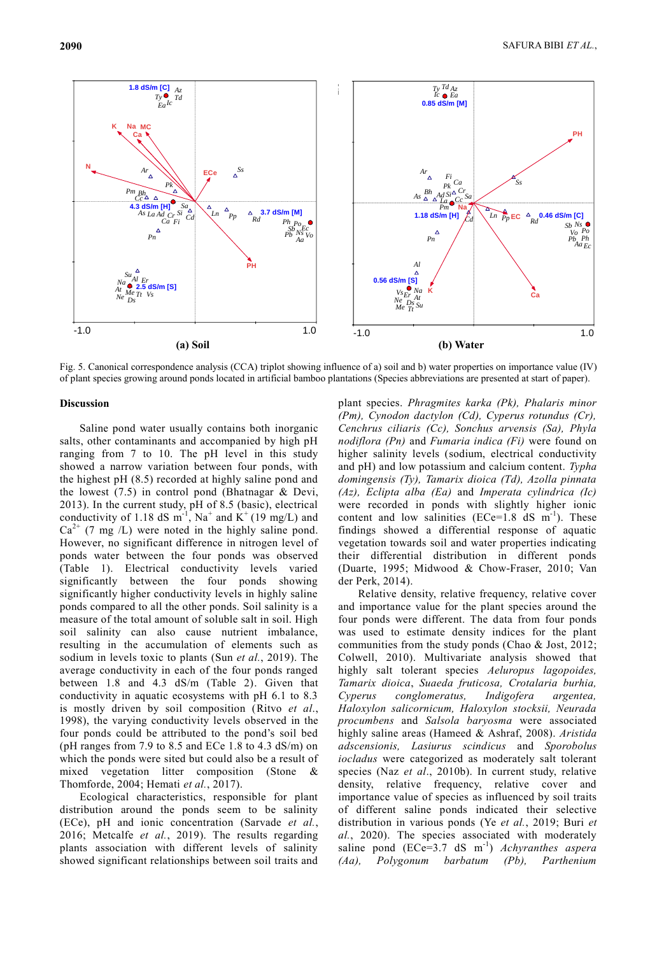

Fig. 5. Canonical correspondence analysis (CCA) triplot showing influence of a) soil and b) water properties on importance value (IV) of plant species growing around ponds located in artificial bamboo plantations (Species abbreviations are presented at start of paper).

# **Discussion**

Saline pond water usually contains both inorganic salts, other contaminants and accompanied by high pH ranging from 7 to 10. The pH level in this study showed a narrow variation between four ponds, with the highest pH (8.5) recorded at highly saline pond and the lowest (7.5) in control pond (Bhatnagar & Devi, 2013). In the current study, pH of 8.5 (basic), electrical conductivity of 1.18 dS m<sup>-1</sup>, Na<sup>+</sup> and K<sup>+</sup> (19 mg/L) and  $Ca^{2+}$  (7 mg /L) were noted in the highly saline pond. However, no significant difference in nitrogen level of ponds water between the four ponds was observed (Table 1). Electrical conductivity levels varied significantly between the four ponds showing significantly higher conductivity levels in highly saline ponds compared to all the other ponds. Soil salinity is a measure of the total amount of soluble salt in soil. High soil salinity can also cause nutrient imbalance, resulting in the accumulation of elements such as sodium in levels toxic to plants (Sun *et al.*, 2019). The average conductivity in each of the four ponds ranged between 1.8 and 4.3 dS/m (Table 2). Given that conductivity in aquatic ecosystems with pH 6.1 to 8.3 is mostly driven by soil composition (Ritvo *et al*., 1998), the varying conductivity levels observed in the four ponds could be attributed to the pond's soil bed (pH ranges from 7.9 to 8.5 and ECe 1.8 to 4.3 dS/m) on which the ponds were sited but could also be a result of mixed vegetation litter composition (Stone & Thomforde, 2004; Hemati *et al.*, 2017).

Ecological characteristics, responsible for plant distribution around the ponds seem to be salinity (ECe), pH and ionic concentration (Sarvade *et al.*, 2016; Metcalfe *et al.*, 2019). The results regarding plants association with different levels of salinity showed significant relationships between soil traits and

plant species. *Phragmites karka (Pk), Phalaris minor (Pm), Cynodon dactylon (Cd), Cyperus rotundus (Cr), Cenchrus ciliaris (Cc), Sonchus arvensis (Sa), Phyla nodiflora (Pn)* and *Fumaria indica (Fi)* were found on higher salinity levels (sodium, electrical conductivity and pH) and low potassium and calcium content. *Typha domingensis (Ty), Tamarix dioica (Td), Azolla pinnata (Az), Eclipta alba (Ea)* and *Imperata cylindrica (Ic)*  were recorded in ponds with slightly higher ionic content and low salinities  $(ECe=1.8 \text{ dS m}^{-1})$ . These findings showed a differential response of aquatic vegetation towards soil and water properties indicating their differential distribution in different ponds (Duarte, 1995; Midwood & Chow-Fraser, 2010; Van der Perk, 2014).

Relative density, relative frequency, relative cover and importance value for the plant species around the four ponds were different. The data from four ponds was used to estimate density indices for the plant communities from the study ponds (Chao & Jost, 2012; Colwell, 2010). Multivariate analysis showed that highly salt tolerant species *Aeluropus lagopoides, Tamarix dioica*, *Suaeda fruticosa, Crotalaria burhia, Cyperus conglomeratus, Indigofera argentea, Haloxylon salicornicum, Haloxylon stocksii, Neurada procumbens* and *Salsola baryosma* were associated highly saline areas (Hameed & Ashraf, 2008). *Aristida adscensionis, Lasiurus scindicus* and *Sporobolus iocladus* were categorized as moderately salt tolerant species (Naz *et al*., 2010b). In current study, relative density, relative frequency, relative cover and importance value of species as influenced by soil traits of different saline ponds indicated their selective distribution in various ponds (Ye *et al.*, 2019; Buri *et al.*, 2020). The species associated with moderately saline pond (ECe=3.7 dS m<sup>-1</sup>) *Achyranthes aspera (Aa), Polygonum barbatum (Pb), Parthenium*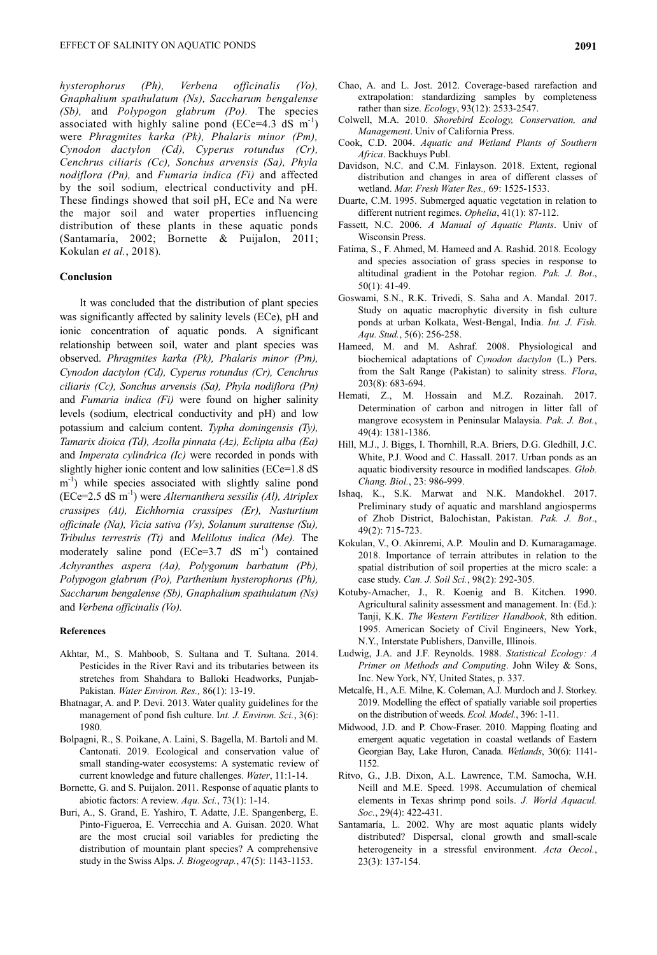*hysterophorus (Ph), Verbena officinalis (Vo), Gnaphalium spathulatum (Ns), Saccharum bengalense (Sb),* and *Polypogon glabrum (Po).* The species associated with highly saline pond  $(ECe=4.3 \text{ dS m}^{-1})$ were *Phragmites karka (Pk), Phalaris minor (Pm), Cynodon dactylon (Cd), Cyperus rotundus (Cr), Cenchrus ciliaris (Cc), Sonchus arvensis (Sa), Phyla nodiflora (Pn),* and *Fumaria indica (Fi)* and affected by the soil sodium, electrical conductivity and pH. These findings showed that soil pH, ECe and Na were the major soil and water properties influencing distribution of these plants in these aquatic ponds (Santamaría, 2002; Bornette & Puijalon, 2011; Kokulan *et al.*, 2018)*.*

# **Conclusion**

It was concluded that the distribution of plant species was significantly affected by salinity levels (ECe), pH and ionic concentration of aquatic ponds. A significant relationship between soil, water and plant species was observed. *Phragmites karka (Pk), Phalaris minor (Pm), Cynodon dactylon (Cd), Cyperus rotundus (Cr), Cenchrus ciliaris (Cc), Sonchus arvensis (Sa), Phyla nodiflora (Pn)*  and *Fumaria indica (Fi)* were found on higher salinity levels (sodium, electrical conductivity and pH) and low potassium and calcium content. *Typha domingensis (Ty), Tamarix dioica (Td), Azolla pinnata (Az), Eclipta alba (Ea)*  and *Imperata cylindrica (Ic)* were recorded in ponds with slightly higher ionic content and low salinities (ECe=1.8 dS m<sup>-1</sup>) while species associated with slightly saline pond (ECe=2.5 dS m -1 ) were *Alternanthera sessilis (Al), Atriplex crassipes (At), Eichhornia crassipes (Er), Nasturtium officinale (Na), Vicia sativa (Vs), Solanum surattense (Su), Tribulus terrestris (Tt)* and *Melilotus indica (Me).* The moderately saline pond  $(ECe=3.7 \text{ dS} \text{ m}^{-1})$  contained *Achyranthes aspera (Aa), Polygonum barbatum (Pb), Polypogon glabrum (Po), Parthenium hysterophorus (Ph), Saccharum bengalense (Sb), Gnaphalium spathulatum (Ns)*  and *Verbena officinalis (Vo).*

# **References**

- Akhtar, M., S. Mahboob, S. Sultana and T. Sultana. 2014. Pesticides in the River Ravi and its tributaries between its stretches from Shahdara to Balloki Headworks, Punjab-Pakistan. *Water Environ. Res.,* 86(1): 13-19.
- Bhatnagar, A. and P. Devi. 2013. Water quality guidelines for the management of pond fish culture. I*nt. J. Environ. Sci.*, 3(6): 1980.
- Bolpagni, R., S. Poikane, A. Laini, S. Bagella, M. Bartoli and M. Cantonati. 2019. Ecological and conservation value of small standing-water ecosystems: A systematic review of current knowledge and future challenges. *Water*, 11:1-14.
- Bornette, G. and S. Puijalon. 2011. Response of aquatic plants to abiotic factors: A review. *Aqu. Sci.*, 73(1): 1-14.
- Buri, A., S. Grand, E. Yashiro, T. Adatte, J.E. Spangenberg, E. Pinto‐Figueroa, E. Verrecchia and A. Guisan. 2020. What are the most crucial soil variables for predicting the distribution of mountain plant species? A comprehensive study in the Swiss Alps. *J. Biogeograp.*, 47(5): 1143-1153.
- Chao, A. and L. Jost. 2012. Coverage‐based rarefaction and extrapolation: standardizing samples by completeness rather than size. *Ecology*, 93(12): 2533-2547.
- Colwell, M.A. 2010. *Shorebird Ecology, Conservation, and Management*. Univ of California Press.
- Cook, C.D. 2004. *Aquatic and Wetland Plants of Southern Africa*. Backhuys Publ.
- Davidson, N.C. and C.M. Finlayson. 2018. Extent, regional distribution and changes in area of different classes of wetland. *Mar. Fresh Water Res.,* 69: 1525-1533.
- Duarte, C.M. 1995. Submerged aquatic vegetation in relation to different nutrient regimes. *Ophelia*, 41(1): 87-112.
- Fassett, N.C. 2006. *A Manual of Aquatic Plants*. Univ of Wisconsin Press.
- Fatima, S., F. Ahmed, M. Hameed and A. Rashid. 2018. Ecology and species association of grass species in response to altitudinal gradient in the Potohar region. *Pak. J. Bot*., 50(1): 41-49.
- Goswami, S.N., R.K. Trivedi, S. Saha and A. Mandal. 2017. Study on aquatic macrophytic diversity in fish culture ponds at urban Kolkata, West-Bengal, India. *Int. J. Fish. Aqu. Stud.*, 5(6): 256-258.
- Hameed, M. and M. Ashraf. 2008. Physiological and biochemical adaptations of *Cynodon dactylon* (L.) Pers. from the Salt Range (Pakistan) to salinity stress. *Flora*, 203(8): 683-694.
- Hemati, Z., M. Hossain and M.Z. Rozainah. 2017. Determination of carbon and nitrogen in litter fall of mangrove ecosystem in Peninsular Malaysia. *Pak. J. Bot.*, 49(4): 1381-1386.
- Hill, M.J., J. Biggs, I. Thornhill, R.A. Briers, D.G. Gledhill, J.C. White, P.J. Wood and C. Hassall. 2017. Urban ponds as an aquatic biodiversity resource in modified landscapes. *Glob. Chang. Biol.*, 23: 986-999.
- Ishaq, K., S.K. Marwat and N.K. Mandokhel. 2017. Preliminary study of aquatic and marshland angiosperms of Zhob District, Balochistan, Pakistan. *Pak. J. Bot*., 49(2): 715-723.
- Kokulan, V., O. Akinremi, A.P. Moulin and D. Kumaragamage. 2018. Importance of terrain attributes in relation to the spatial distribution of soil properties at the micro scale: a case study. *Can. J. Soil Sci.*, 98(2): 292-305.
- Kotuby-Amacher, J., R. Koenig and B. Kitchen. 1990. Agricultural salinity assessment and management. In: (Ed.): Tanji, K.K. *The Western Fertilizer Handbook*, 8th edition. 1995. American Society of Civil Engineers, New York, N.Y., Interstate Publishers, Danville, Illinois.
- Ludwig, J.A. and J.F. Reynolds. 1988. *Statistical Ecology: A Primer on Methods and Computing*. John Wiley & Sons, Inc. New York, NY, United States, p. 337.
- Metcalfe, H., A.E. Milne, K. Coleman, A.J. Murdoch and J. Storkey. 2019. Modelling the effect of spatially variable soil properties on the distribution of weeds. *Ecol. Model.*, 396: 1-11.
- Midwood, J.D. and P. Chow-Fraser. 2010. Mapping floating and emergent aquatic vegetation in coastal wetlands of Eastern Georgian Bay, Lake Huron, Canada. *Wetlands*, 30(6): 1141- 1152.
- Ritvo, G., J.B. Dixon, A.L. Lawrence, T.M. Samocha, W.H. Neill and M.E. Speed. 1998. Accumulation of chemical elements in Texas shrimp pond soils. *J. World Aquacul. Soc.*, 29(4): 422-431.
- Santamaría, L. 2002. Why are most aquatic plants widely distributed? Dispersal, clonal growth and small-scale heterogeneity in a stressful environment. *Acta Oecol.*, 23(3): 137-154.